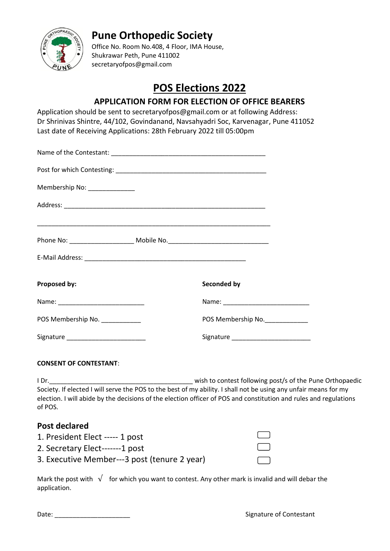

## **Pune Orthopedic Society**

Office No. Room No.408, 4 Floor, IMA House, Shukrawar Peth, Pune 411002 secretaryofpos@gmail.com

# **POS Elections 2022**

### **APPLICATION FORM FOR ELECTION OF OFFICE BEARERS**

Application should be sent to secretaryofpos@gmail.com or at following Address: Dr Shrinivas Shintre, 44/102, Govindanand, Navsahyadri Soc, Karvenagar, Pune 411052 Last date of Receiving Applications: 28th February 2022 till 05:00pm

| Membership No: _______________  |                                     |
|---------------------------------|-------------------------------------|
|                                 |                                     |
|                                 |                                     |
|                                 |                                     |
| Proposed by:                    | Seconded by                         |
|                                 |                                     |
| POS Membership No. ____________ | POS Membership No.                  |
|                                 | Signature _________________________ |
|                                 |                                     |

### **CONSENT OF CONTESTANT**:

I Dr.\_\_\_\_\_\_\_\_\_\_\_\_\_\_\_\_\_\_\_\_\_\_\_\_\_\_\_\_\_\_\_\_\_\_\_\_\_\_\_\_ wish to contest following post/s of the Pune Orthopaedic Society. If elected I will serve the POS to the best of my ability. I shall not be using any unfair means for my election. I will abide by the decisions of the election officer of POS and constitution and rules and regulations of POS.

### **Post declared**

| 1. President Elect ----- 1 post              |              |
|----------------------------------------------|--------------|
| 2. Secretary Elect-------1 post              | $\Box$       |
| 3. Executive Member---3 post (tenure 2 year) | $\mathbf{1}$ |

Mark the post with  $\sqrt{\phantom{a}}$  for which you want to contest. Any other mark is invalid and will debar the application.